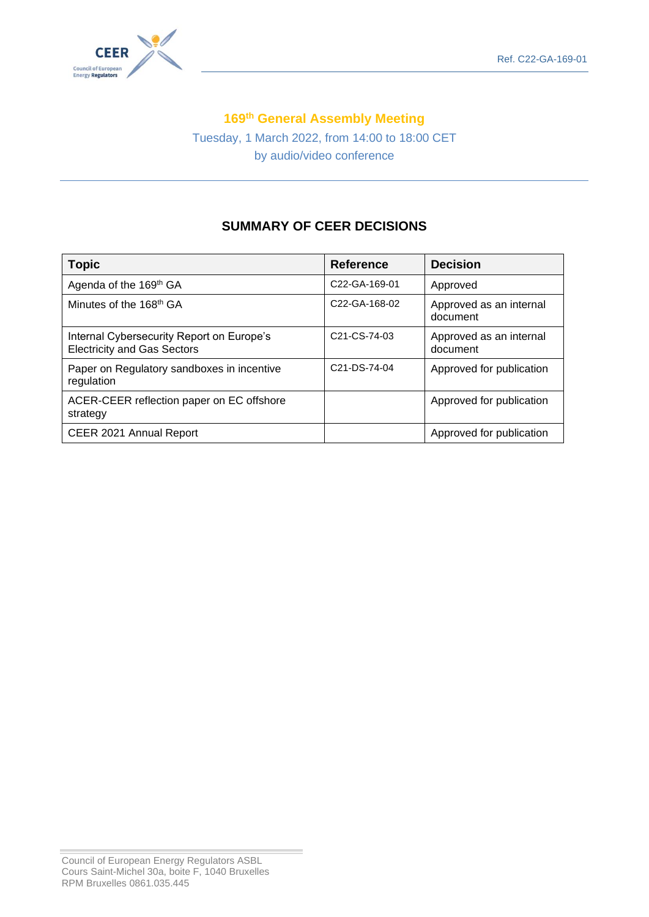

## **169 th General Assembly Meeting**

Tuesday, 1 March 2022, from 14:00 to 18:00 CET by audio/video conference

# **SUMMARY OF CEER DECISIONS**

| <b>Topic</b>                                                                    | <b>Reference</b>                       | <b>Decision</b>                     |
|---------------------------------------------------------------------------------|----------------------------------------|-------------------------------------|
| Agenda of the 169 <sup>th</sup> GA                                              | C22-GA-169-01                          | Approved                            |
| Minutes of the 168 <sup>th</sup> GA                                             | C <sub>22</sub> -GA-168-02             | Approved as an internal<br>document |
| Internal Cybersecurity Report on Europe's<br><b>Electricity and Gas Sectors</b> | C <sub>21</sub> -C <sub>S</sub> -74-03 | Approved as an internal<br>document |
| Paper on Regulatory sandboxes in incentive<br>regulation                        | C <sub>21</sub> -D <sub>S</sub> -74-04 | Approved for publication            |
| ACER-CEER reflection paper on EC offshore<br>strategy                           |                                        | Approved for publication            |
| CEER 2021 Annual Report                                                         |                                        | Approved for publication            |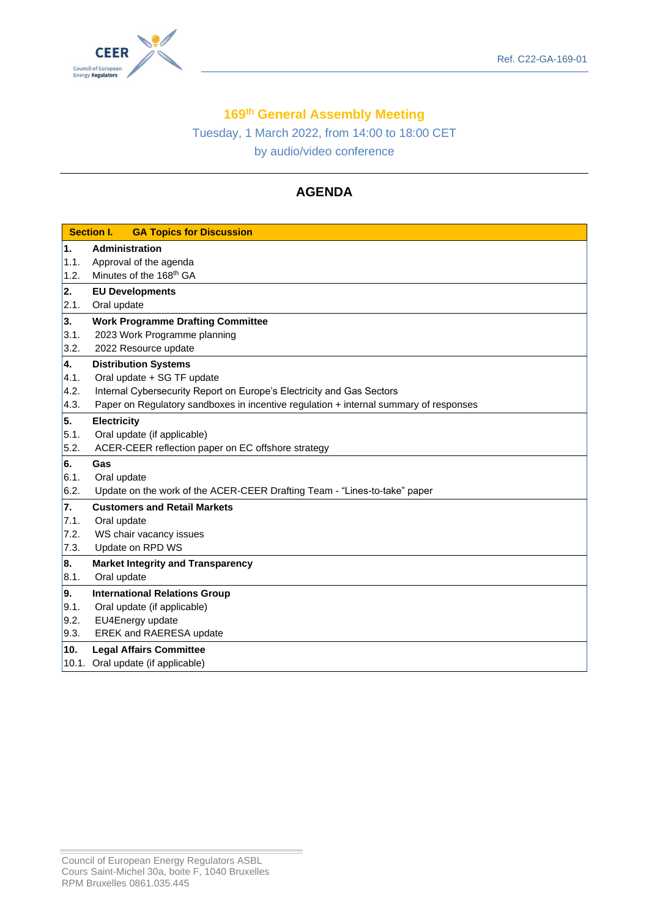

## **169 th General Assembly Meeting**

Tuesday, 1 March 2022, from 14:00 to 18:00 CET by audio/video conference

# **AGENDA**

|      | <b>Section I.</b><br><b>GA Topics for Discussion</b>                                  |  |  |
|------|---------------------------------------------------------------------------------------|--|--|
| 1.   | <b>Administration</b>                                                                 |  |  |
| 1.1. | Approval of the agenda                                                                |  |  |
| 1.2. | Minutes of the 168 <sup>th</sup> GA                                                   |  |  |
| 2.   | <b>EU Developments</b>                                                                |  |  |
| 2.1. | Oral update                                                                           |  |  |
| 3.   | <b>Work Programme Drafting Committee</b>                                              |  |  |
| 3.1. | 2023 Work Programme planning                                                          |  |  |
| 3.2. | 2022 Resource update                                                                  |  |  |
| 4.   | <b>Distribution Systems</b>                                                           |  |  |
| 4.1. | Oral update + SG TF update                                                            |  |  |
| 4.2. | Internal Cybersecurity Report on Europe's Electricity and Gas Sectors                 |  |  |
| 4.3. | Paper on Regulatory sandboxes in incentive regulation + internal summary of responses |  |  |
| 5.   | <b>Electricity</b>                                                                    |  |  |
| 5.1. | Oral update (if applicable)                                                           |  |  |
| 5.2. | ACER-CEER reflection paper on EC offshore strategy                                    |  |  |
| 6.   | Gas                                                                                   |  |  |
| 6.1. | Oral update                                                                           |  |  |
| 6.2. | Update on the work of the ACER-CEER Drafting Team - "Lines-to-take" paper             |  |  |
| 7.   | <b>Customers and Retail Markets</b>                                                   |  |  |
| 7.1. | Oral update                                                                           |  |  |
| 7.2. | WS chair vacancy issues                                                               |  |  |
| 7.3. | Update on RPD WS                                                                      |  |  |
| 8.   | <b>Market Integrity and Transparency</b>                                              |  |  |
| 8.1. | Oral update                                                                           |  |  |
| 9.   | <b>International Relations Group</b>                                                  |  |  |
| 9.1. | Oral update (if applicable)                                                           |  |  |
| 9.2. | EU4Energy update                                                                      |  |  |
| 9.3. | <b>EREK and RAERESA update</b>                                                        |  |  |
| 10.  | <b>Legal Affairs Committee</b>                                                        |  |  |
|      | 10.1. Oral update (if applicable)                                                     |  |  |